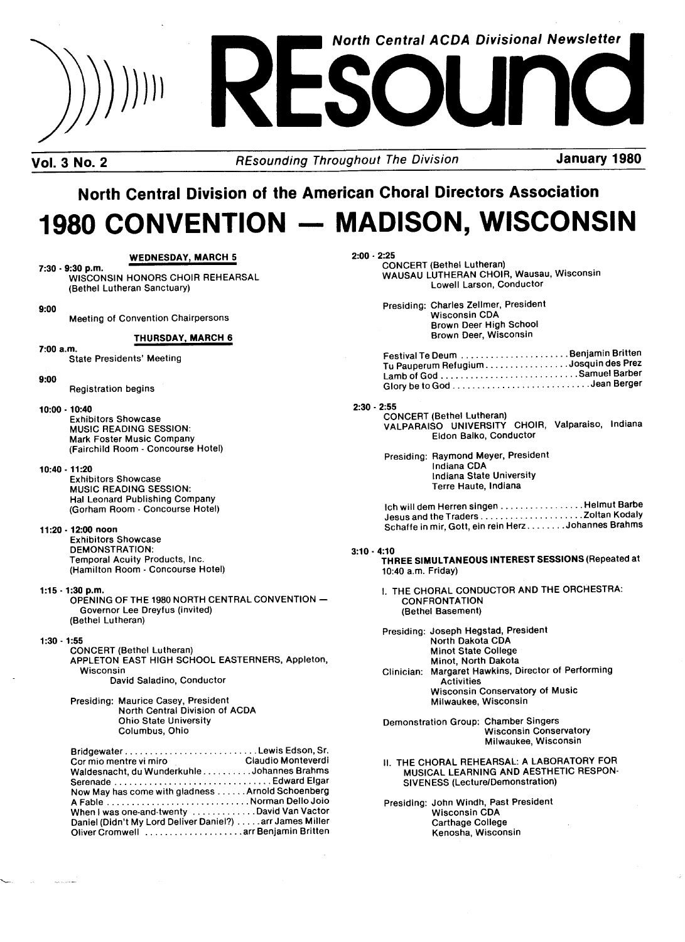

Vol. 3 No. 2 **REsounding Throughout The Division** January 1980

# North Central Division of the American Choral Directors Association 1980 CONVENTION - MADISON, WISCONSIN

## WEDNESDAY, MARCH 5

 $7:30 - 9:30$  p.m. WISCONSIN HONORS CHOIR REHEARSAL (Bethel Lutheran Sanctuary)

9:00

Meeting of Convention Chairpersons

## THURSDAY, MARCH 6

7:00 a.m.

State Presidents' Meeting

#### 9:00

#### Pegistration begins

10:00 -10:40

Exhibitors Showcase MUSIC READING SESSION: Mark Foster Music Company (Fairchild Room - Concourse Hotel)

## 10:40 .11:20

Exhibitors Showcase **MUSIC READING SESSION:** Hal Leonard Publishing Company (Gorham Room - Concourse Hotel)

#### 11:20 -12:00 noon

Exhibitors Showcase DEMONSTRATION: Temporal Acuity Products, lnc. (Hamilton Room - Concourse Hotel)

 $1:15 - 1:30$  p.m.

OPENING OF THE 1980 NORTH CENTRAL CONVENTION -Governor Lee Dreyfus (invited) (Bethel Lutheran)

#### 1:30 .1:55

CONCERT (Bethel Lutheran) APPLETON EAST HIGH SCHOOL EASTERNERS, Appleton, Wisconsin David Saladino, Conductor

Presiding: Maurice Casey, President North Central Division of ACDA Ohio State University Columbus, Ohio

| Cor mio mentre vi miro contra claudio Monteverdi         |  |
|----------------------------------------------------------|--|
| Waldesnacht, du WunderkuhleJohannes Brahms               |  |
|                                                          |  |
| Now May has come with gladness Arnold Schoenberg         |  |
|                                                          |  |
| When I was one-and-twenty David Van Vactor               |  |
| Daniel (Didn't My Lord Deliver Daniel?) arr James Miller |  |
| Oliver Cromwell  arr Benjamin Britten                    |  |

2:00 . 2:25

CONCERT (Bethel Lutheran) WAUSAU LUTHERAN CHOIR, Wausau, Wisconsin Lowell Larson, Conductor

Presiding: Charles Zellmer, President Wisconsin CDA Brown Deer High School Brown Deer, Wisconsin

| Tu Pauperum Refugium Josquin des Prez |  |
|---------------------------------------|--|
|                                       |  |
|                                       |  |

#### 2:30 . 2:55

CONCEBT (Bethel Lutheran) VALPARAISO UNIVERSITY CHOIR, Valparaiso, Indiana Eldon Balko, Conductor

Presiding: Raymond Meyer, President Indiana CDA Indiana State University Terre Haute, Indiana

lch will dem Herren singen Helmut Barbe Jesus and trie Traders Zoltan Kodaly Schaffe in mir, Gott, ein rein Herz Johannes Brahms

### 3:10 . 4:10

THREE SIMULTANEOUS INTEREST SESSIONS (Repeated at 10:40 a.m. Friday)

I. THE CHORAL CONDUCTOR AND THE ORCHESTRA: **CONFRONTATION** (Bethel Basement)

Presiding: Joseph Hegstad, President North Dakota CDA Minot State College Minot, North Dakota Clinician: Margaret Hawkins, Director of Performing **Activities** Wisconsin Conservatory of Music Milwaukee, Wisconsin

Demonstration Group: Chamber Singers Wisconsin Conservatory Milwaukee, Wisconsin

II. THE CHORAL REHEARSAL: A LABORATORY FOR MUSICAL LEARNING AND AESTHETIC RESPON-SIVENESS (Lecture/Demonstration)

Presiding: John Windh, Past President Wisconsin CDA Carthage College Kenosha, Wisconsin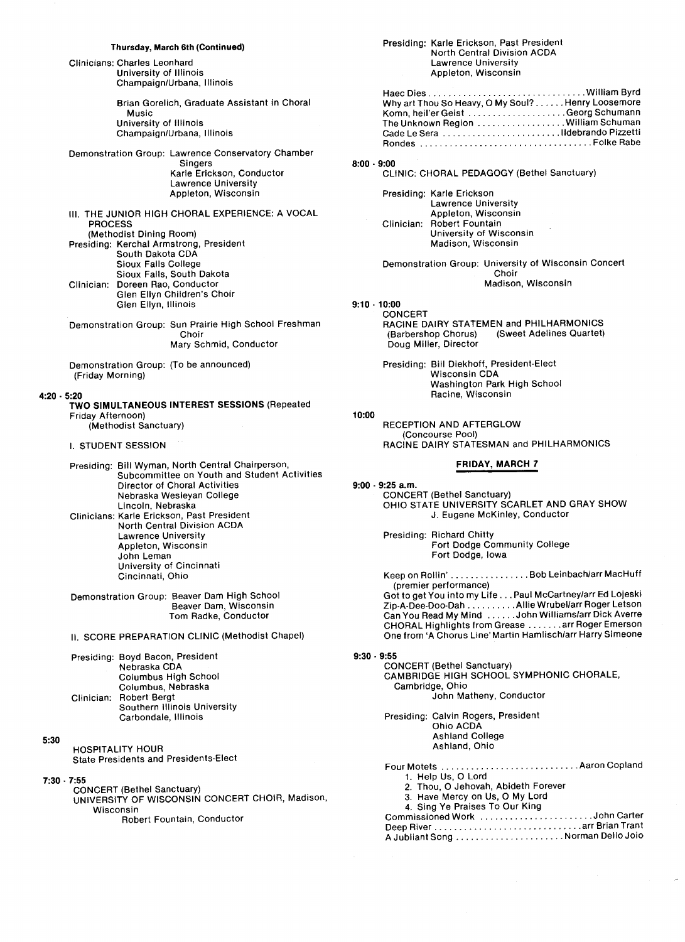#### Thursday, March 6th (Continued)

Clinicians: Charles Leonhard University of lllinois Champaign/Urbana, Illinois

> Brian Gorelich, Graduate Assistant in Choral Music University of Illinois Champaign/Urbana, Illinois

Demonstration Group: Lawrence Conservatory Chamber Singers Karle Erickson, Conductor Lawrence University Appleton, Wisconsin

III. THE JUNIOR HIGH CHORAL EXPERIENCE: A VOCAL **PROCESS** (Methodist Dining Room) Presiding: Kerchal Armstrong, President South Dakota CDA Sioux Falls College Sioux Falls, South Dakota Clinician: Doreen Rao, Conductor Glen EIIyn Children's Choir Glen Ellyn, Illinois

Demonstration Group: Sun Prairie High School Freshman Choir Mary Schmid, Conductor

Demonstration Group: (To be announced) (Friday Morning)

#### 4:20 . 5:20

TWO SIMULTANEOUS INTEREST SESSIONS (Bepeated Friday Afternoon)

(Methodist Sanctuary)

## I. STUDENT SESSION

Presiding: Bill Wyman, North Central Chairperson, Subcommittee on Youth and Student Activities Director of Choral Activities Nebraska Wesleyan College Lincoln, Nebraska Clinicians: Karle Erickson, Past President North Central Division ACDA Lawrence University Appleton, Wisconsin John Leman University of Cincinnati Cincinnati, Ohio

Demonstration Group: Beaver Dam High School Beaver Dam, Wisconsin Tom Badke, Conductor

11. SCOPE PBEPABATION CLINIC (Methodist Chapel)

Presiding: Boyd Bacon, President Nebraska CDA Columbus High School Columbus, Nebraska Clinician: Robert Bergt Southern Illinois University Carbondale, Illinois

5:30

HOSPITALITY HOUP State Presidents and Presidents-Elect

7:30 . 7:55

CONCEPT (Bethel Sanctuary) UNIVERSITY OF WISCONSIN CONCERT CHOIR, Madison, Wisconsin

Robert Fountain, Conductor

#### Presiding: Karle Erickson, Past President North Central Division ACDA Lawrence University Appleton, Wisconsin

| Why art Thou So Heavy, O My Soul? Henry Loosemore |  |
|---------------------------------------------------|--|
|                                                   |  |
| The Unknown Region William Schuman                |  |
|                                                   |  |
|                                                   |  |

8:00 . 9:00

CLINIC: CHOBAL PEDAGOGY (Bethel Sanctuary)

Presiding: Karle Erickson Lawrence University Appleton, Wisconsin Clinician: Robert Fountain University of Wisconsin Madison, Wisconsin

Demonstration Group: University of Wisconsin Concert Choir

Madison, Wisconsin

9:10 .10:00

**CONCERT** RACINE DAIRY STATEMEN and PHILHARMONICS<br>(Barbershop Chorus) (Sweet Adelines Quartet) (Sweet Adelines Quartet) Doug Miller, Director

Presiding: Bill Diekhoff, President-Elect Wisconsin CDA Washington Park High School Racine, Wisconsin

## 10:00

**RECEPTION AND AFTERGLOW** (Concourse Pool) RACINE DAIRY STATESMAN and PHILHARMONICS

#### FRIDAY, MARCH 7

 $9:00 - 9:25$  a.m. CONCEPT (Bethel Sanctuary) OHIO STATE UNIVERSITY SCARLET AND GRAY SHOW J. Eugene MCKinley, Conductor Presiding: Richard Chitty Fort Dodge Community College Fort Dodge, Iowa Keep on Rollin' . . . . . . . . . . . . . . . . Bob Leinbach/arr MacHuff<br>(premier performance) Got to get You into my Life . . . Paul Mccartney/arr Ed Lojeski Zip-A-Dee-Doo-Dan ........ Allie wrubel/arr Boger Letson Can You Bead My Mind ...... John Williams/arr Dick Averre CHOPAL Highlights from Grease ...... arr Poger Emerson One from `A Chorus Line' Martin Hamlisch/arr Harry Simeone 9:30 . 9:55 CONCEPT (Bethel Sanctuary) CAMBRIDGE HIGH SCHOOL SYMPHONIC CHORALE, Cambridge, Ohio John Matheny, Conductor

> Presiding: Calvin Rogers, President Ohio ACDA Ashland College Ashland, Ohio

Four Motets 1. Help Us, 0 Lord 2. Thou, 0 Jehovah, Abideth Forever 3. Have Mercy on Us, 0 My Lord 4. Sing Ye Praises To Our King Commissioned Work ............... Deep Fiver arr Brian Trant A Jubliant Song Norman Dello Joio.................. Aaron Copland ......John Carter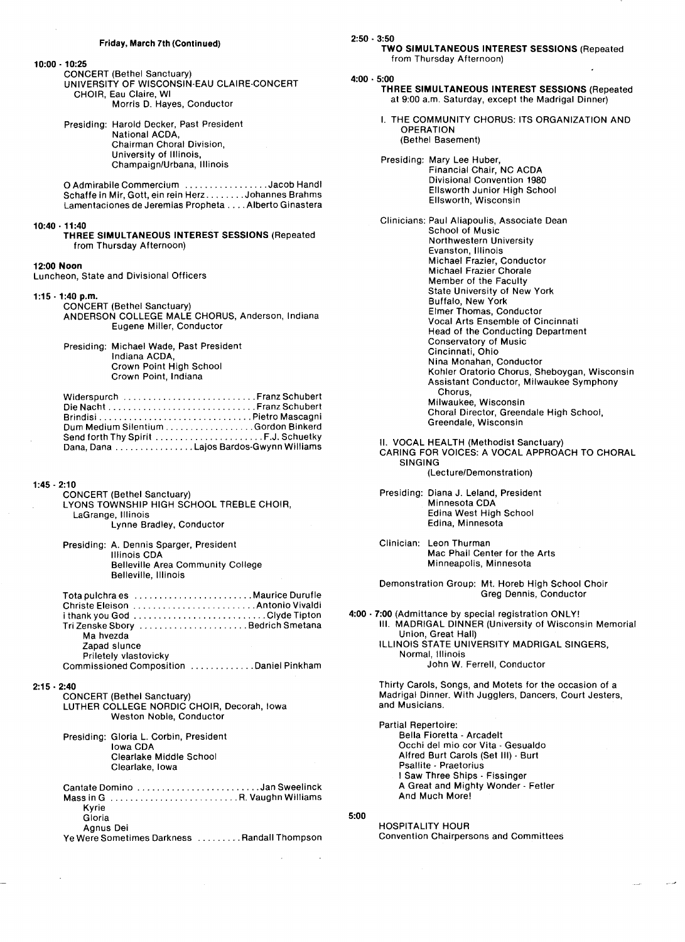$10:00 - 10:25$ 

**CONCERT (Bethel Sanctuary)<br>UNIVERSITY OF WISCONSIN-EAU CLAIRE-CONCERT<br>CHOIR, Eau Claire, WI** Morris D. Hayes, Conductor

Presiding: Harold Decker, Past President National ACDA, Chairman Choral Division, University of Illinois, Champaign/Urbana, Illinois

O Admirabile Commercium ................Jacob Handl Schaffe in Mir, Gott, ein rein Herz........Johannes Brahms Lamentaciones de Jeremias Propheta . . . . Alberto Ginastera

#### $10:40 \cdot 11:40$

THREE SIMULTANEOUS INTEREST SESSIONS (Repeated from Thursday Afternoon)

#### 12:00 Noon

Luncheon, State and Divisional Officers

#### $1:15 - 1:40$  p.m.

CONCERT (Bethel Sanctuary) ANDERSON COLLEGE MALE CHORUS, Anderson, Indiana Eugene Miller, Conductor

Presiding: Michael Wade, Past President Indiana ACDA. Crown Point High School Crown Point, Indiana

| Widerspurch Franz Schubert             |
|----------------------------------------|
| Die NachtFranz Schubert                |
|                                        |
| Dum Medium Silentium Gordon Binkerd    |
| Send forth Thy Spirit F.J. Schuetky    |
| Dana, Dana Lajos Bardos-Gwynn Williams |

### $1:45 - 2:10$

- **CONCERT (Bethel Sanctuary)** LYONS TOWNSHIP HIGH SCHOOL TREBLE CHOIR, LaGrange, Illinois Lynne Bradley, Conductor
- Presiding: A. Dennis Sparger, President Illinois CDA **Belleville Area Community College** Belleville, Illinois

| Tri Zenske Sbory  Bedrich Smetana       |  |
|-----------------------------------------|--|
| Ma hvezda                               |  |
| Zapad slunce                            |  |
| Priletely vlastovicky                   |  |
| Commissioned Composition Daniel Pinkham |  |

#### $2:15 - 2:40$

CONCERT (Bethel Sanctuary)<br>LUTHER COLLEGE NORDIC CHOIR, Decorah, Iowa Weston Noble, Conductor

Presiding: Gloria L. Corbin, President Iowa CDA Clearlake Middle School Clearlake, Iowa

| Cantate Domino Jan Sweelinck                 |  |
|----------------------------------------------|--|
|                                              |  |
| Kyrie                                        |  |
| Gloria                                       |  |
| Agnus Dei                                    |  |
| Ye Were Sometimes Darkness  Randall Thompson |  |
|                                              |  |

| 2:50 - 3:50                                                                                                                                                                                                                                                                                                                                                                                                                                                                                                                                                                                                                                               |
|-----------------------------------------------------------------------------------------------------------------------------------------------------------------------------------------------------------------------------------------------------------------------------------------------------------------------------------------------------------------------------------------------------------------------------------------------------------------------------------------------------------------------------------------------------------------------------------------------------------------------------------------------------------|
| TWO SIMULTANEOUS INTEREST SESSIONS (Repeated<br>from Thursday Afternoon)                                                                                                                                                                                                                                                                                                                                                                                                                                                                                                                                                                                  |
| 4:00 - 5:00<br>THREE SIMULTANEOUS INTEREST SESSIONS (Repeated<br>at 9:00 a.m. Saturday, except the Madrigal Dinner)                                                                                                                                                                                                                                                                                                                                                                                                                                                                                                                                       |
| I. THE COMMUNITY CHORUS: ITS ORGANIZATION AND<br><b>OPERATION</b><br>(Bethel Basement)                                                                                                                                                                                                                                                                                                                                                                                                                                                                                                                                                                    |
| Presiding: Mary Lee Huber,<br>Financial Chair, NC ACDA<br>Divisional Convention 1980<br>Ellsworth Junior High School<br>Ellsworth, Wisconsin                                                                                                                                                                                                                                                                                                                                                                                                                                                                                                              |
| Clinicians: Paul Aliapoulis, Associate Dean<br>School of Music<br>Northwestern University<br>Evanston, Illinois<br>Michael Frazier, Conductor<br>Michael Frazier Chorale<br>Member of the Faculty<br>State University of New York<br><b>Buffalo, New York</b><br>Elmer Thomas, Conductor<br><b>Vocal Arts Ensemble of Cincinnati</b><br>Head of the Conducting Department<br><b>Conservatory of Music</b><br>Cincinnati, Ohio<br>Nina Monahan, Conductor<br>Kohler Oratorio Chorus, Sheboygan, Wisconsin<br>Assistant Conductor, Milwaukee Symphony<br>Chorus,<br>Milwaukee, Wisconsin<br>Choral Director, Greendale High School,<br>Greendale, Wisconsin |
| II. VOCAL HEALTH (Methodist Sanctuary)<br>CARING FOR VOICES: A VOCAL APPROACH TO CHORAL<br><b>SINGING</b><br>(Lecture/Demonstration)                                                                                                                                                                                                                                                                                                                                                                                                                                                                                                                      |
| Presiding: Diana J. Leland, President<br>Minnesota CDA<br>Edina West High School<br>Edina, Minnesota                                                                                                                                                                                                                                                                                                                                                                                                                                                                                                                                                      |
| Clinician: Leon Thurman<br>Mac Phail Center for the Arts<br>Minneapolis, Minnesota                                                                                                                                                                                                                                                                                                                                                                                                                                                                                                                                                                        |
| Demonstration Group: Mt. Horeb High School Choir<br>Greg Dennis, Conductor                                                                                                                                                                                                                                                                                                                                                                                                                                                                                                                                                                                |
| 4:00 - 7:00 (Admittance by special registration ONLY!<br>III. MADRIGAL DINNER (University of Wisconsin Memorial<br>Union, Great Hall)<br>ILLINOIS STATE UNIVERSITY MADRIGAL SINGERS,<br>Normal, Illinois<br>John W. Ferrell, Conductor                                                                                                                                                                                                                                                                                                                                                                                                                    |
| Thirty Carols, Songs, and Motets for the occasion of a<br>Madrigal Dinner. With Jugglers, Dancers, Court Jesters,<br>and Musicians.                                                                                                                                                                                                                                                                                                                                                                                                                                                                                                                       |

Partial Repertoire: Bella Fioretta - Arcadelt Occhi del mio cor Vita - Gesualdo Alfred Burt Carols (Set III) - Burt Psallite - Praetorius I Saw Three Ships - Fissinger A Great and Mighty Wonder - Fetler And Much More!

 $5:00$ 

**HOSPITALITY HOUR Convention Chairpersons and Committees**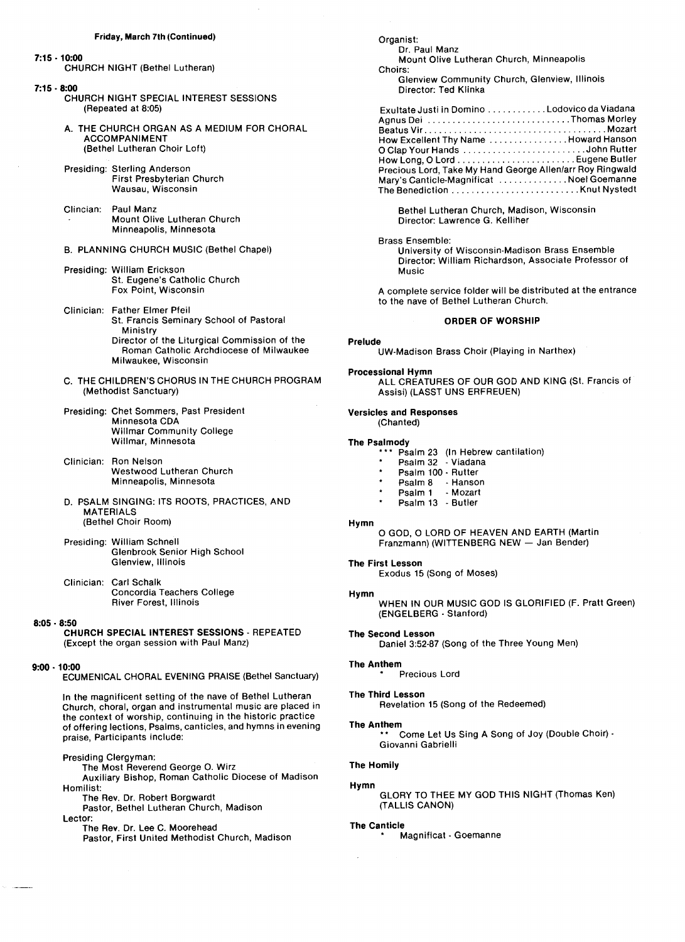#### Friday, March 7th (Continued)

#### 7:15 .10:00

CHURCH NIGHT (Bethel Lutheran)

#### 7:15 . 8:00

- CHURCH NIGHT SPECIAL INTEREST SESSIONS (Repeated at 8:05)
- A. THE CHURCH ORGAN AS A MEDIUM FOR CHORAL ACCOMPANIMENT (Bethel Lutheran Choir Loft)
- Presiding: Sterling Anderson First Presbyterian Church Wausau, Wisconsin
- Clincian: Paul Manz Mount Olive Lutheran Church Minneapolis, Minnesota
- 8. PLANNING CHUPCH MUSIC (Bethel Chapel)
- Presiding: William Erickson St. Eugene's Catholic Church Fox Point, Wisconsin
- Clinician: Father Elmer pfeil St. Francis Seminary School of Pastoral Ministry Director of the Liturgical Commission of the Boman Catholic Archdiocese of Milwaukee Milwaukee, Wisconsin
- C. THE CHILDREN'S CHORUS IN THE CHURCH PROGRAM (Methodist Sanctuary)
- Presiding: Chet Sommers, Past President Minnesota CDA Willmar Community College Willmar, Minnesota
- Clinician: Ron Nelson Westwood Lutheran Church Minneapolis, Minnesota
- D. PSALM SINGING: ITS ROOTS, PRACTICES, AND **MATERIALS** (Bethel Choir Boom)
- Presiding: William Schnell Glenbrook Senior High School Glenview, Illinois
- Clinician: Carl schalk Concordia Teachers College River Forest, Illinois

#### 8:05 . 8:50

## CHURCH SPECIAL INTEREST SESSIONS - REPEATED (Except the organ session with Paul Manz)

#### 9:00 .10:00

ECUMENICAL CHORAL EVENING PRAISE (Bethel Sanctuary)

In the magnificent setting of the nave of Bethel Lutheran Church, choral, organ and instrumental music are placed in the context of worship, continuing in the historic practice of offering lections, Psalms, canticles, and hymns in evening praise, Participants include:

#### Presiding Clergyman:

The Most Reverend George O. Wirz Auxiliary Bishop, Roman Catholic Diocese of Madison Homilist:

The Rev. Dr. Robert Borgwardt

Pastor, Bethel Lutheran Church, Madison Lector:

The Rev. Dr. Lee C. Moorehead

Pastor, First United Methodist Church, Madison

Organist: Dr. Paul Manz Mount Olive Lutheran Church, Minneapolis Choirs: Glenview Community Church, Glenview, lllinois Director: Ted Klinka

| Exultate Justi in Domino Lodovico da Viadana              |  |
|-----------------------------------------------------------|--|
| Agnus Dei Thomas Morley                                   |  |
|                                                           |  |
| How Excellent Thy Name Howard Hanson                      |  |
| O Clap Your Hands John Rutter                             |  |
|                                                           |  |
| Precious Lord, Take My Hand George Allen/arr Roy Ringwald |  |
| Mary's Canticle-Magnificat Noel Goemanne                  |  |
|                                                           |  |

Bethel Lutheran Church, Madison, Wisconsin Director: Lawrence G. Kelliher

### Brass Ensemble:

University of Wisconsin.Madison Brass Ensemble Director: William Bichardson, Associate Professor of Music

A complete service folder will be distributed at the entrance to the nave of Bethel Lutheran Church.

#### oRDEn oF woRSHip

#### Prelude

UW-Madison Brass Choir (Playing in Narthex)

Processional Hymn

ALL CREATURES OF OUR GOD AND KING (St. Francis of Assisi) (LASST UNS ERFREUEN)

#### Versicles and Responses

(Chanted)

#### The Psalmody

- Psalm 23 (In Hebrew cantilation)
- Psalm 32 Viadana
- Psalm 100 Rutter
- Psalm 8 Hanson + Psalm 1 -Mozart
- + Psalml3 -Butler
- 

#### Hymn

O GOD, O LORD OF HEAVEN AND EARTH (Martin Franzmann) (WITTENBERG NEW - Jan Bender)

#### The First Lesson

Exodus 15 (Song of Moses)

#### Hymn

WHEN IN 0UP MUSIC GOD IS GLOBIFIED (F. Pratt Green) (ENGELBEPG -Stan ford)

## Daniel 3:52-87 (Song of the Three Young Men)

## The Anthem

Precious Lord

## The Third Lesson

The Second Lesson

Bevelation 15 (Song of the Bedeemed)

#### The Anthem

Come Let Us Sing A Song of Joy (Double Choir) -Giovanni Gabrielli

#### The Homily

#### Hymn

GLOBY TO THEE MY GOD THIS NIGHT (Thomas Ken) (TALLIS CANON)

#### The Canticle

Magnificat - Goemanne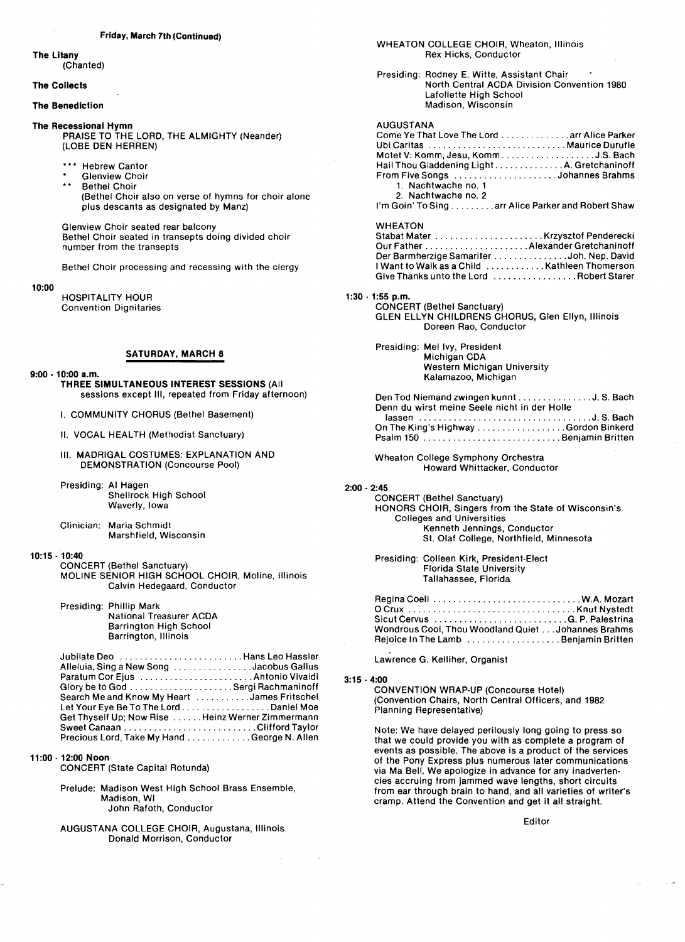## The Litany

(Chanted)

### The Collects

#### The Benediction

The Recessional Hymn

- PRAISE TO THE LORD, THE ALMIGHTY (Neander) (LOBE DEN HERREN)
	- **Hebrew Cantor**
	- **Glenview Choir** \*\* Bethel Choir
		- (Bethel Choir also on verse of hymns for choir alone plus descants as designated by Manz)

Glenview Choir seated rear balcony Bethel Choir seated in transepts doing divided choir number from the transepts

Bethel Choir processing and recessing with the clergy

10:00

HOSPITALITY HOUR Convention Dignitaries

## SATURDAY, MARCH 8

 $9:00 - 10:00$  a.m.

THREE SIMULTANEOUS INTEREST SESSIONS (All sessions except Ill, repeated from Friday afternoon)

I. COMMUNITY CHORUS (Bethel Basement)

- 11. VOCAL HEALTH (Methodist Sanctuary)
- III. MADRIGAL COSTUMES: EXPLANATION AND DEMONSTRATION (Concourse Pool)

Presiding: AI Hagen Shellrock High School Waverly, Iowa

Clinician: Maria schmidt Marsh field, Wisconsin

#### 1o:15 .10:40

CONCERT (Bethel Sanctuary) MOLINE SENIOR HIGH SCHOOL CHOIR, Moline, Illinois Calvin Hedegaard, Conductor

Presiding: Phillip Mark

National Treasurer ACDA Barrington High School Barrington, Illinois

Jubilate Deo Hans Leo Hassler Alleluia, Sing a New Song Paratum Cor Ejus Glory be to God Sergi Bachmaninoff Search Me and Know My Heart . . . James Fritschel Let Your Eye Be To The Lord . . ....... Daniel Moe Get Thyself Up; Now Rise . . . . . . Heinz Werner Zimmermann Sweet Canaan Clifford Taylor Jacobus Callus Antonio Vivaldi Precious Lord, Take My Hand ..... George N. Allen

## 11:00 -12:00 Noon

CONCERT (State Capital Rotunda)

Prelude: Madison West High School Brass Ensemble, Madison, WI John Pafoth, Conductor

AUGuSTANA COLLEGE CHOIB, Augustana, Illinois Donald Morrison, Conductor

#### WHEATON COLLEGE CHOIR, Wheaton, Illinois Rex Hicks, Conductor

Presiding: Rodney E. Witte, Assistant Chair North Central ACDA Division Convention 1980 Lafollette High School Madison, Wisconsin

#### AUGUSTANA

| Come Ye That Love The Lord arr Alice Parker        |  |
|----------------------------------------------------|--|
| Ubi Caritas  Maurice Durufle                       |  |
| Motet V: Komm, Jesu, KommJ.S. Bach                 |  |
| Hail Thou Gladdening LightA. Gretchaninoff         |  |
| From Five Songs Johannes Brahms                    |  |
| 1. Nachtwache no. 1                                |  |
| 2. Nachtwache no. 2                                |  |
| I'm Goin' To Sing arr Alice Parker and Robert Shaw |  |

#### WHEATON

| Der Barmherzige Samariter Joh. Nep. David.    |  |
|-----------------------------------------------|--|
| I Want to Walk as a Child Kathleen Thomerson. |  |
| Give Thanks unto the Lord   Robert Starer .   |  |

## $1:30 - 1:55$  p.m.

CONCERT (Bethel Sanctuary) GLEN ELLYN CHILDRENS CHORUS, Glen Ellyn, Illinois Doreen Bao, Conductor

Presiding: Mel Ivy, President Michigan CDA Western Michigan University Kalamazoo, Michigan

| Den Tod Niemand zwingen kunnt J. S. Bach     |  |
|----------------------------------------------|--|
| Denn du wirst meine Seele nicht in der Holle |  |
|                                              |  |
| On The King's Highway Gordon Binkerd         |  |
| Psalm 150 Benjamin Britten                   |  |

Wheaton College Symphony Orchestra Howard Whittacker, Conductor

#### 2:00 . 2:45

CONCEPT (Bethel Sanctuary) HONORS CHOIR, Singers from the State of Wisconsin's Colleges and Universities Kenneth Jennings, Conductor St. OIaf College, Northfield, Minnesota

Presiding: Colleen Kirk, President-Elect Florida State University Tallahassee, Florida

Fzeg i na coel i W.A. Mozart Sicut Cervus G. P. Palestrina Knut Nystedt Wondrous Cool, Thou Woodland Quiet . . . Johannes Brahms Rejoice In The Lamb .................... Benjamin Britten

Lawrence G. Kelliher, Organist

#### 3:15 -4:00

CONVENTION WPAP-UP (Concourse Hotel) (Convention Chairs, North Central Officers, and 1982 Planning Representative)

Note: We have delayed perilously long going to press so that we could provide you with as complete a program of events as possible. The above is a product of the services of the Pony Express plus numerous later communications via Ma Bell. We apologize in advance for any inadvertencies accruing from jammed wave lengths, short circuits from ear through brain to hand, and all varieties of writer's cramp. Attend the Convention and get it all straight.

Editor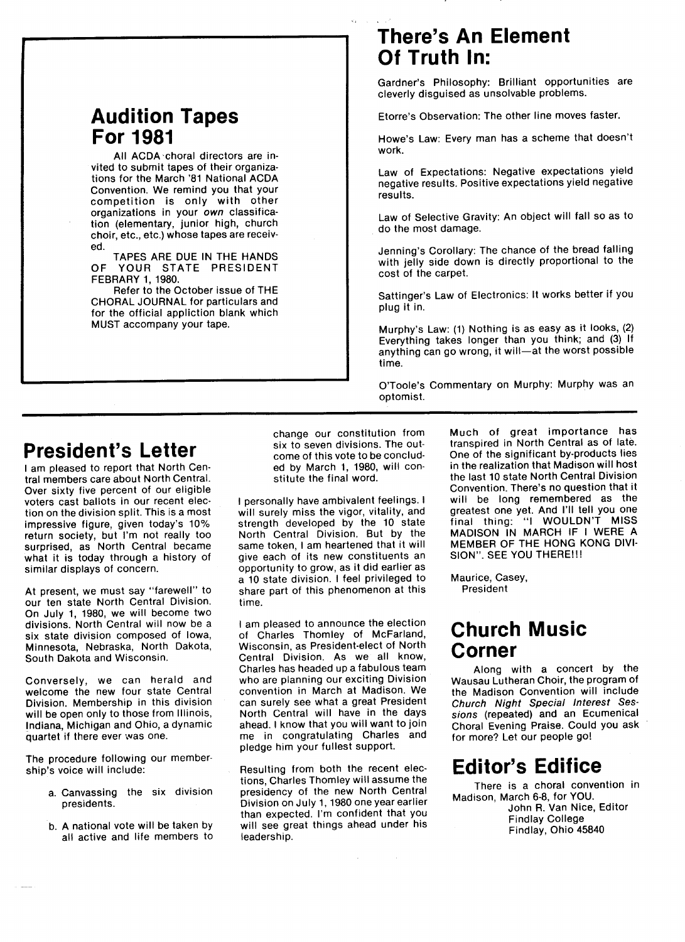## Audition Tapes For 1981

All ACDA`choral directors are invited to submit tapes of their organizations for the March '81 National ACDA Convention. We remind you that your competition is only with other organizations in your own classification (elementary, junior high, church choir, etc., etc.) whose tapes are received.

TAPES ARE DUE IN THE HANDS OF YOUR STATE PRESIDENT FEBBABY 1,1980.

Befer to the October issue of THE CHOPAL JOUBNAL for particulars and for the official appliction blank which MUST accompany your tape.

## There's An Element Of Truth ln:

Gardner's Philosophy: Brilliant opportunities are cleverly disguised as unsolvable problems.

Etorre's Observation: The other line moves faster.

Howe's Law: Every man has a scheme that doesn't work.

Law of Expectations: Negative expectations yield negative results. Positive expectations yield negative results.

Law of Selective Gravity: An object will fall so as to do the most damage.

Jenning's Corollary: The chance of the bread falling with jelly side down is directly proportional to the cost of the carpet,

Sattinger's Law of Electronics: lt works better if you plug it in.

Murphy's Law: (1) Nothing is as easy as it looks, (2) Everything takes longer than you think; and (3) If anything can go wrong, it will-at the worst possible time.

O'Toole's Commentary on Murphy: Murphy was an Optomist.

## President's Letter

I am pleased to report that North Central members care about North Central. Over sixty five percent of our eligible voters cast ballots in our recent election on the division split. This is a most impressive figure, given today's 10% return society, but l'm not really too surprised, as North Central became what it is today through a history of similar displays of concern.

At present, we must say "farewell" to our ten state North Central Division. On July 1, 1980, we will become two divisions. North Central will now be a six state division composed of Iowa, Minnesota, Nebraska, North Dakota, South Dakota and Wisconsin.

Conversely, we can herald and welcome the new four state Central Division. Membership in this division will be open only to those from Illinois, Indiana, Michigan and Ohio, a dynamic quartet if there ever was one.

The procedure following our membership's voice will include:

- a, Canvassing the six division presidents.
- b. A national vote will be taken by all active and life members to

change our constitution from six to seven divisions. The outcome of this vote to be concluded by March 1, 1980, will constitute the final word.

I personally have ambivalent feelings. I will surely miss the vigor, vitality, and strength developed by the 10 state North Central Division. But by the same token, I am heartened that it will give each of its new constituents an opportunity to grow, as it did earlier as a 10 state division. I feel privileged to share part of this phenomenon at this time.

I am pleased to announce the election of Charles Thomley of MCFarland, Wisconsin, as President-elect of North Central Division. As we all know, Charles has headed up a fabulous team who are planning our exciting Division convention in March at Madison. We can surely see what a great President North Central will have in the days ahead. I know that you will want to join me in congratulating Charles and pledge him your fullest support.

Resulting from both the recent elections, Charles Thomley will assume the presidency of the new North Central Division on July 1,1980 one year earlier than expected. I'm confident that you will see great things ahead under his leadership.

Much of great importance has transpired in North Central as of late. One of the significant by-products lies in the realization that Madison will host the last 10 state North Central Division Convention. There's no question that it will be long remembered as the greatest one yet. And 1'11 tell you one final thing: ''I WOULDN'T MISS MADISON IN MARCH IF I WERE A MEMBEB OF THE HONG KONG DIvl-SION". SEE YOU THERE !!!

Maurice, Casey, President

## Church Music Corner

Along with a concert by the Wausau Lutheran Choir, the program of the Madison Convention will include Church Night Special Interest Sessions (repeated) and an Ecumenical Choral Evening Praise. Could you ask for more? Let our people go!

## **Editor's Edifice**

There is a choral convention in Madison, March 6-8, for YOU. John R. Van Nice, Editor Findlay College Findlay, Ohio 45840